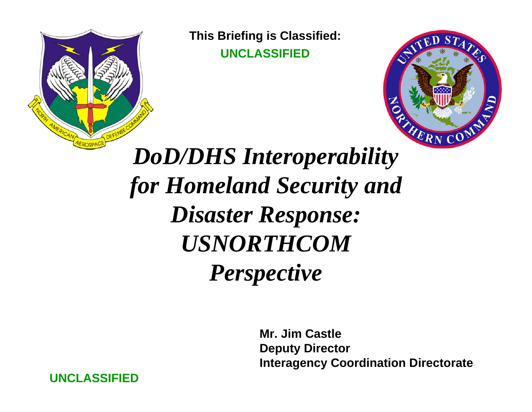

**This Briefing is Classified: UNCLASSIFIED**



## *DoD/DHS Interoperability for Homeland Security and Disaster Response: USNORTHCOM Perspective*

**Mr. Jim CastleDeputy Director Interagency Coordination Directorate**

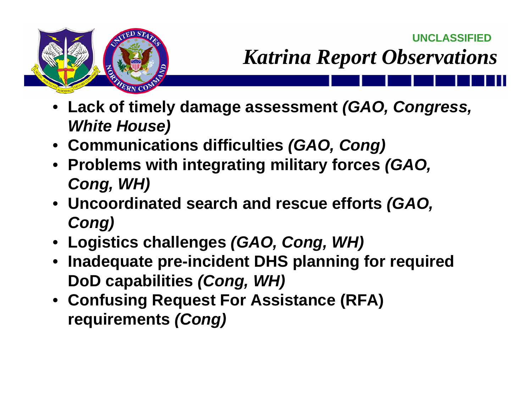*Katrina Report Observations*



- **Lack of timely damage assessment** *(GAO, Congress, White House)*
- **Communications difficulties** *(GAO, Cong)*
- **Problems with integrating military forces** *(GAO, Cong, WH)*
- **Uncoordinated search and rescue efforts** *(GAO, Cong)*
- **Logistics challenges** *(GAO, Cong, WH)*
- **Inadequate pre-incident DHS planning for required DoD capabilities** *(Cong, WH)*
- **Confusing Request For Assistance (RFA) requirements** *(Cong)*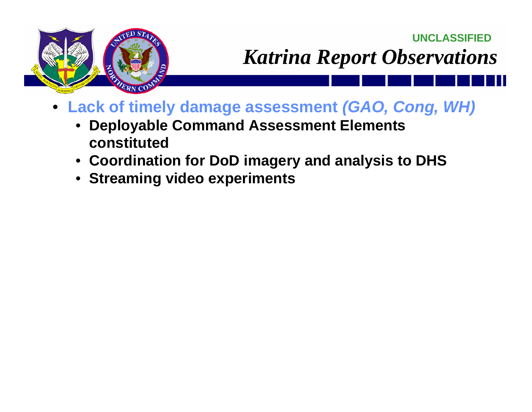

- **Lack of timely damage assessment** *(GAO, Cong, WH)*
	- • **Deployable Command Assessment Elements constituted**
	- **Coordination for DoD imagery and analysis to DHS**
	- **Streaming video experiments**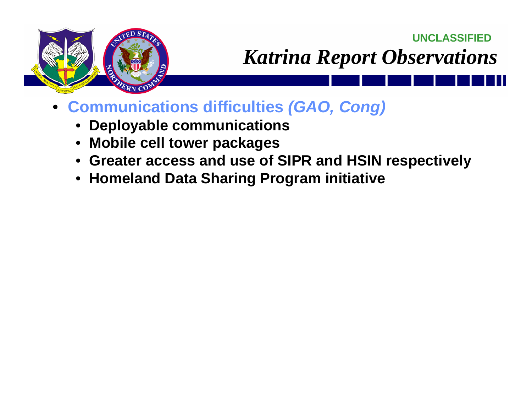

- • **Communications difficulties** *(GAO, Cong)*
	- **Deployable communications**
	- •**Mobile cell tower packages**
	- **Greater access and use of SIPR and HSIN respectively**
	- **Homeland Data Sharing Program initiative**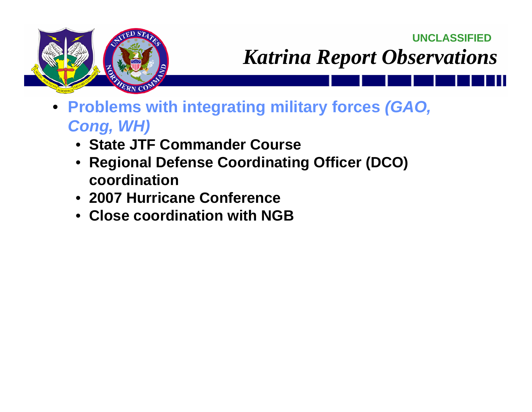**UNCLASSIFIED**



## *Katrina Report Observations*

- **Problems with integrating military forces** *(GAO, Cong, WH)*
	- **State JTF Commander Course**
	- **Regional Defense Coordinating Officer (DCO) coordination**
	- **2007 Hurricane Conference**
	- **Close coordination with NGB**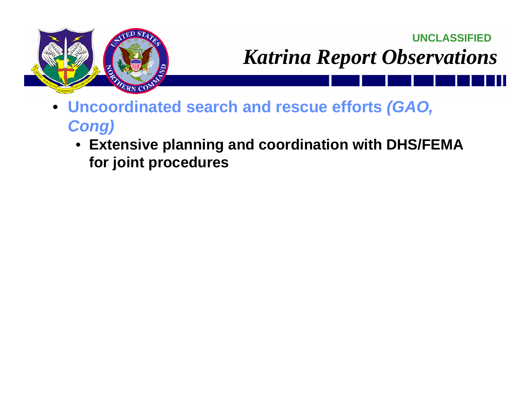

**UNCLASSIFIED***Katrina Report Observations*

- **Uncoordinated search and rescue efforts** *(GAO, Cong)*
	- **Extensive planning and coordination with DHS/FEMA for joint procedures**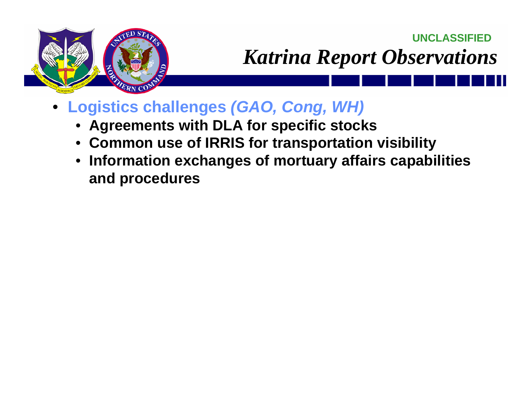

- **Logistics challenges** *(GAO, Cong, WH)*
	- **Agreements with DLA for specific stocks**
	- **Common use of IRRIS for transportation visibility**
	- **Information exchanges of mortuary affairs capabilities and procedures**